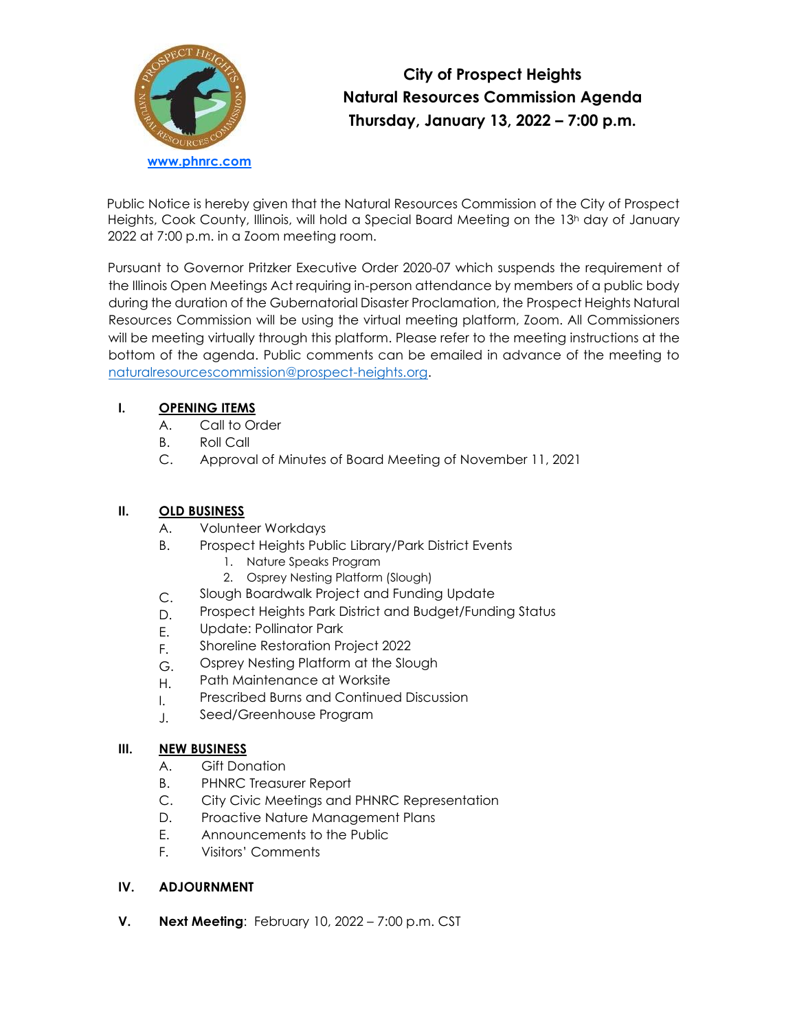

# **City of Prospect Heights Natural Resources Commission Agenda Thursday, January 13, 2022 – 7:00 p.m.**

Public Notice is hereby given that the Natural Resources Commission of the City of Prospect Heights, Cook County, Illinois, will hold a Special Board Meeting on the 13<sup>h</sup> day of January 2022 at 7:00 p.m. in a Zoom meeting room.

Pursuant to Governor Pritzker Executive Order 2020-07 which suspends the requirement of the Illinois Open Meetings Act requiring in-person attendance by members of a public body during the duration of the Gubernatorial Disaster Proclamation, the Prospect Heights Natural Resources Commission will be using the virtual meeting platform, Zoom. All Commissioners will be meeting virtually through this platform. Please refer to the meeting instructions at the bottom of the agenda. Public comments can be emailed in advance of the meeting to [naturalresourcescommission@prospect-heights.org.](mailto:naturalresourcescommission@prospect-heights.org)

## **I. OPENING ITEMS**

- A. Call to Order
- B. Roll Call
- C. Approval of Minutes of Board Meeting of November 11, 2021

# **II. OLD BUSINESS**

- A. Volunteer Workdays
- B. Prospect Heights Public Library/Park District Events
	- 1. Nature Speaks Program
	- 2. Osprey Nesting Platform (Slough)
	- Slough Boardwalk Project and Funding Update
- C. D. Prospect Heights Park District and Budget/Funding Status
- E. Update: Pollinator Park
- F. Shoreline Restoration Project 2022
- G. Osprey Nesting Platform at the Slough
- H. Path Maintenance at Worksite
- I. Prescribed Burns and Continued Discussion
- J. Seed/Greenhouse Program

#### **III. NEW BUSINESS**

- A. Gift Donation
- B. PHNRC Treasurer Report
- C. City Civic Meetings and PHNRC Representation
- D. Proactive Nature Management Plans
- E. Announcements to the Public
- F. Visitors' Comments

## **IV. ADJOURNMENT**

**V. Next Meeting**: February 10, 2022 – 7:00 p.m. CST